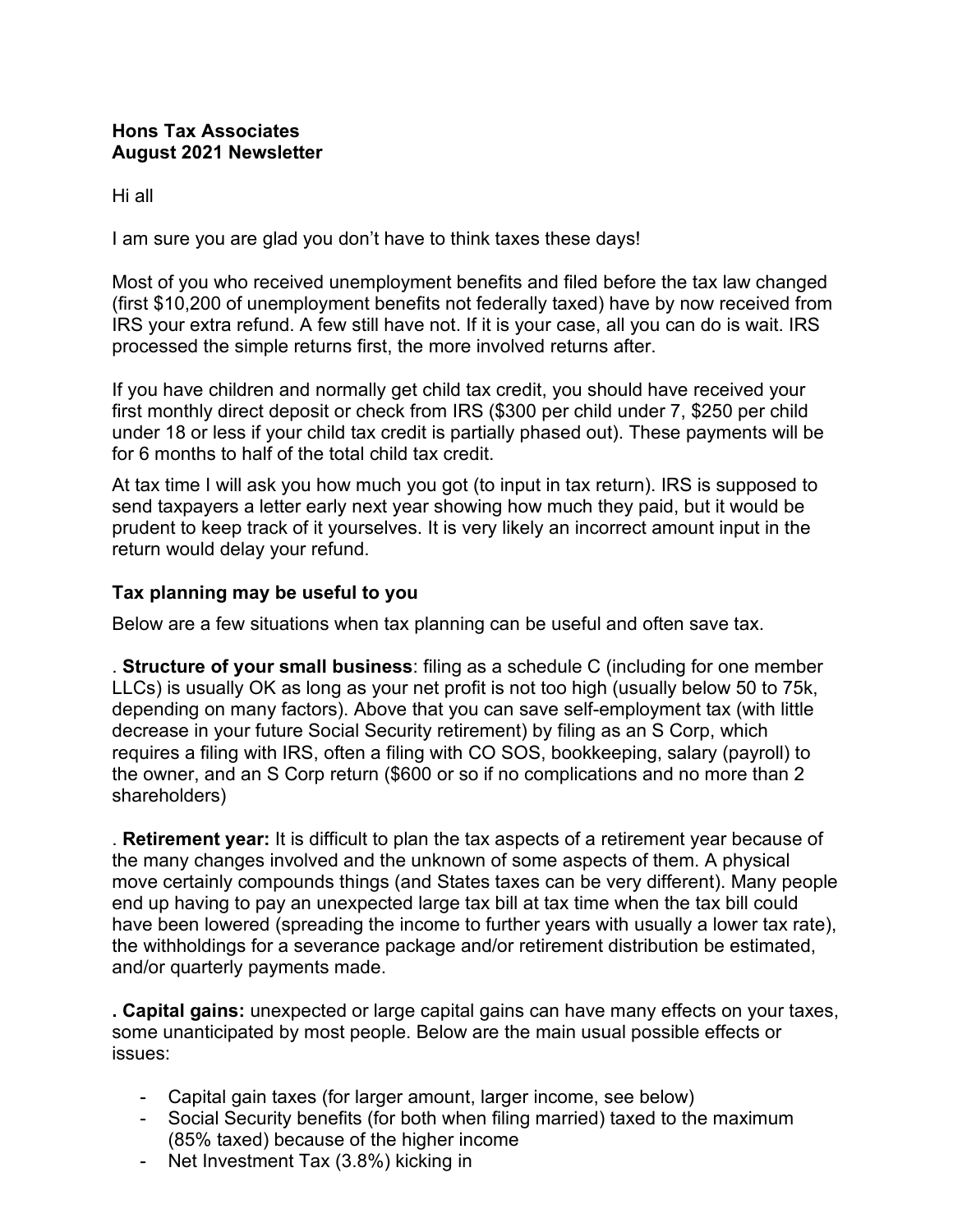## **Hons Tax Associates August 2021 Newsletter**

Hi all

I am sure you are glad you don't have to think taxes these days!

Most of you who received unemployment benefits and filed before the tax law changed (first \$10,200 of unemployment benefits not federally taxed) have by now received from IRS your extra refund. A few still have not. If it is your case, all you can do is wait. IRS processed the simple returns first, the more involved returns after.

If you have children and normally get child tax credit, you should have received your first monthly direct deposit or check from IRS (\$300 per child under 7, \$250 per child under 18 or less if your child tax credit is partially phased out). These payments will be for 6 months to half of the total child tax credit.

At tax time I will ask you how much you got (to input in tax return). IRS is supposed to send taxpayers a letter early next year showing how much they paid, but it would be prudent to keep track of it yourselves. It is very likely an incorrect amount input in the return would delay your refund.

## **Tax planning may be useful to you**

Below are a few situations when tax planning can be useful and often save tax.

. **Structure of your small business**: filing as a schedule C (including for one member LLCs) is usually OK as long as your net profit is not too high (usually below 50 to 75k, depending on many factors). Above that you can save self-employment tax (with little decrease in your future Social Security retirement) by filing as an S Corp, which requires a filing with IRS, often a filing with CO SOS, bookkeeping, salary (payroll) to the owner, and an S Corp return (\$600 or so if no complications and no more than 2 shareholders)

. **Retirement year:** It is difficult to plan the tax aspects of a retirement year because of the many changes involved and the unknown of some aspects of them. A physical move certainly compounds things (and States taxes can be very different). Many people end up having to pay an unexpected large tax bill at tax time when the tax bill could have been lowered (spreading the income to further years with usually a lower tax rate), the withholdings for a severance package and/or retirement distribution be estimated, and/or quarterly payments made.

**. Capital gains:** unexpected or large capital gains can have many effects on your taxes, some unanticipated by most people. Below are the main usual possible effects or issues:

- Capital gain taxes (for larger amount, larger income, see below)
- Social Security benefits (for both when filing married) taxed to the maximum (85% taxed) because of the higher income
- Net Investment Tax (3.8%) kicking in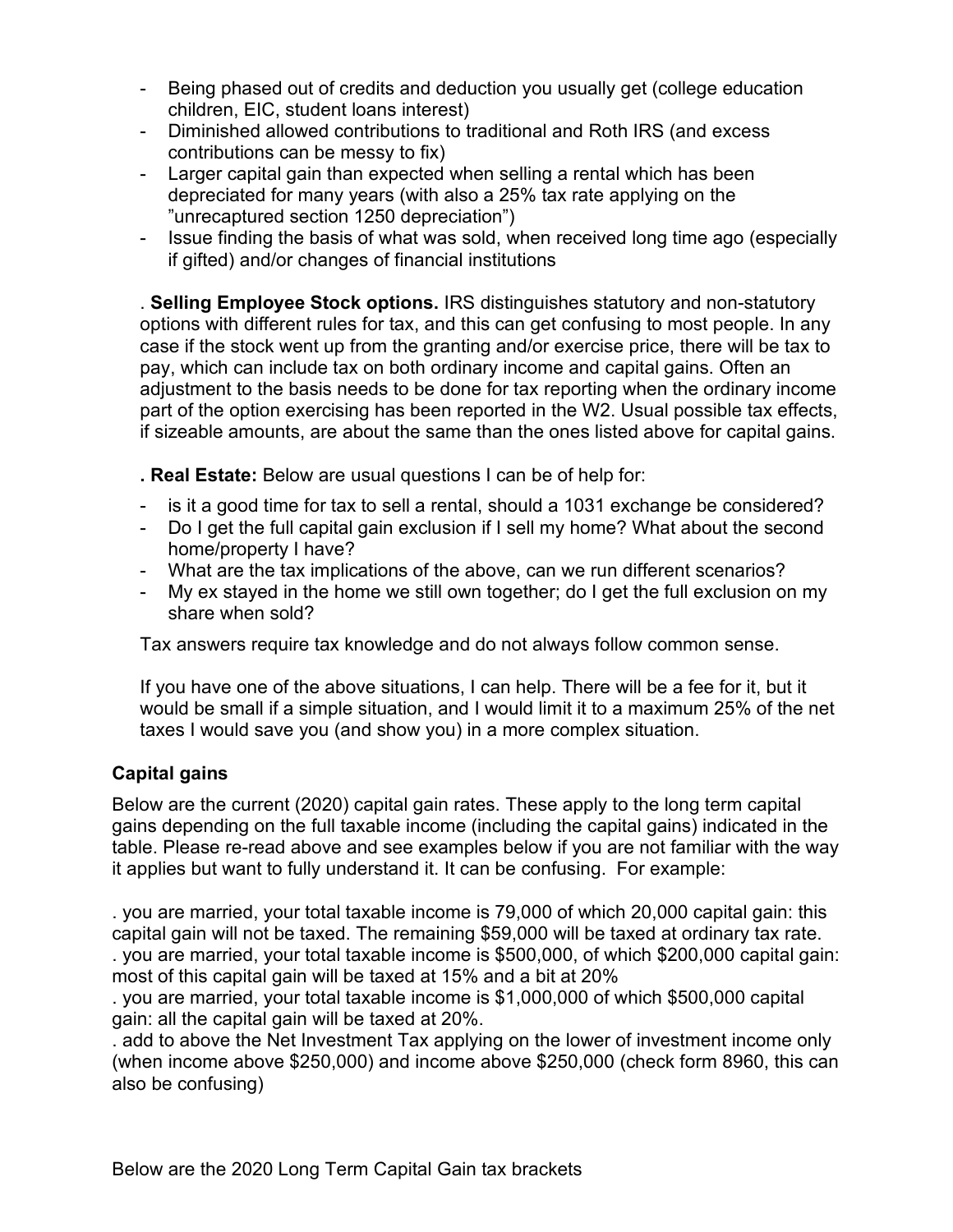- Being phased out of credits and deduction you usually get (college education children, EIC, student loans interest)
- Diminished allowed contributions to traditional and Roth IRS (and excess contributions can be messy to fix)
- Larger capital gain than expected when selling a rental which has been depreciated for many years (with also a 25% tax rate applying on the "unrecaptured section 1250 depreciation")
- Issue finding the basis of what was sold, when received long time ago (especially if gifted) and/or changes of financial institutions

. **Selling Employee Stock options.** IRS distinguishes statutory and non-statutory options with different rules for tax, and this can get confusing to most people. In any case if the stock went up from the granting and/or exercise price, there will be tax to pay, which can include tax on both ordinary income and capital gains. Often an adjustment to the basis needs to be done for tax reporting when the ordinary income part of the option exercising has been reported in the W2. Usual possible tax effects, if sizeable amounts, are about the same than the ones listed above for capital gains.

**. Real Estate:** Below are usual questions I can be of help for:

- is it a good time for tax to sell a rental, should a 1031 exchange be considered?
- Do I get the full capital gain exclusion if I sell my home? What about the second home/property I have?
- What are the tax implications of the above, can we run different scenarios?
- My ex stayed in the home we still own together; do I get the full exclusion on my share when sold?

Tax answers require tax knowledge and do not always follow common sense.

If you have one of the above situations, I can help. There will be a fee for it, but it would be small if a simple situation, and I would limit it to a maximum 25% of the net taxes I would save you (and show you) in a more complex situation.

## **Capital gains**

Below are the current (2020) capital gain rates. These apply to the long term capital gains depending on the full taxable income (including the capital gains) indicated in the table. Please re-read above and see examples below if you are not familiar with the way it applies but want to fully understand it. It can be confusing. For example:

. you are married, your total taxable income is 79,000 of which 20,000 capital gain: this capital gain will not be taxed. The remaining \$59,000 will be taxed at ordinary tax rate. . you are married, your total taxable income is \$500,000, of which \$200,000 capital gain: most of this capital gain will be taxed at 15% and a bit at 20%

. you are married, your total taxable income is \$1,000,000 of which \$500,000 capital gain: all the capital gain will be taxed at 20%.

. add to above the Net Investment Tax applying on the lower of investment income only (when income above \$250,000) and income above \$250,000 (check form 8960, this can also be confusing)